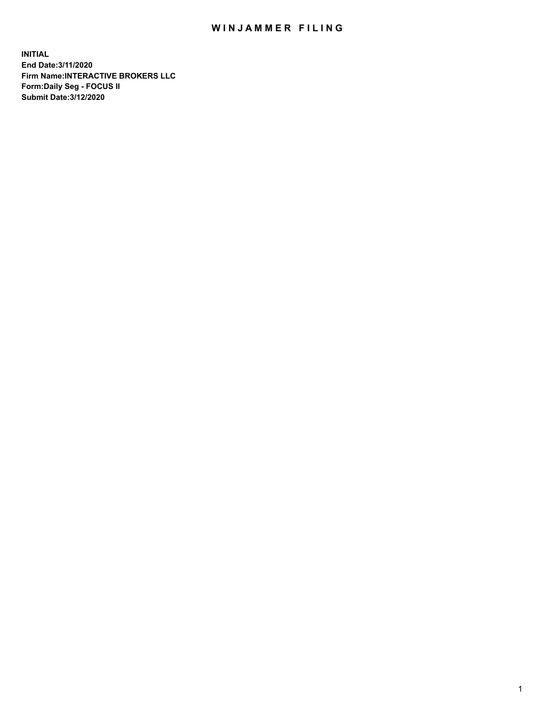## WIN JAMMER FILING

**INITIAL End Date:3/11/2020 Firm Name:INTERACTIVE BROKERS LLC Form:Daily Seg - FOCUS II Submit Date:3/12/2020**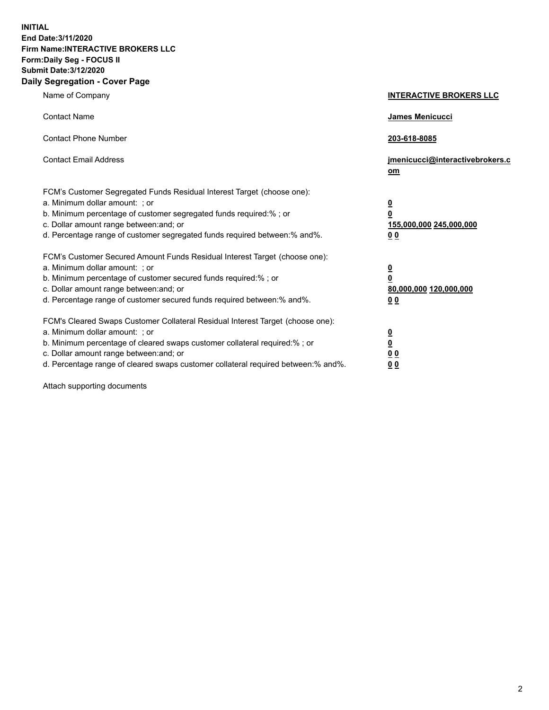**INITIAL End Date:3/11/2020 Firm Name:INTERACTIVE BROKERS LLC Form:Daily Seg - FOCUS II Submit Date:3/12/2020 Daily Segregation - Cover Page**

| Name of Company                                                                                                                                                                                                                                                                                                                | <b>INTERACTIVE BROKERS LLC</b>                                                   |  |
|--------------------------------------------------------------------------------------------------------------------------------------------------------------------------------------------------------------------------------------------------------------------------------------------------------------------------------|----------------------------------------------------------------------------------|--|
| <b>Contact Name</b>                                                                                                                                                                                                                                                                                                            | James Menicucci                                                                  |  |
| <b>Contact Phone Number</b>                                                                                                                                                                                                                                                                                                    | 203-618-8085                                                                     |  |
| <b>Contact Email Address</b>                                                                                                                                                                                                                                                                                                   | jmenicucci@interactivebrokers.c<br>om                                            |  |
| FCM's Customer Segregated Funds Residual Interest Target (choose one):<br>a. Minimum dollar amount: ; or<br>b. Minimum percentage of customer segregated funds required:% ; or<br>c. Dollar amount range between: and; or<br>d. Percentage range of customer segregated funds required between:% and%.                         | <u>0</u><br>$\overline{\mathbf{0}}$<br>155,000,000 245,000,000<br>0 <sub>0</sub> |  |
| FCM's Customer Secured Amount Funds Residual Interest Target (choose one):<br>a. Minimum dollar amount: ; or<br>b. Minimum percentage of customer secured funds required:% ; or<br>c. Dollar amount range between: and; or<br>d. Percentage range of customer secured funds required between:% and%.                           | <u>0</u><br>$\overline{\mathbf{0}}$<br>80,000,000 120,000,000<br>0 <sub>0</sub>  |  |
| FCM's Cleared Swaps Customer Collateral Residual Interest Target (choose one):<br>a. Minimum dollar amount: ; or<br>b. Minimum percentage of cleared swaps customer collateral required:% ; or<br>c. Dollar amount range between: and; or<br>d. Percentage range of cleared swaps customer collateral required between:% and%. | <u>0</u><br>$\underline{\mathbf{0}}$<br>0 <sub>0</sub><br>0 <sub>0</sub>         |  |

Attach supporting documents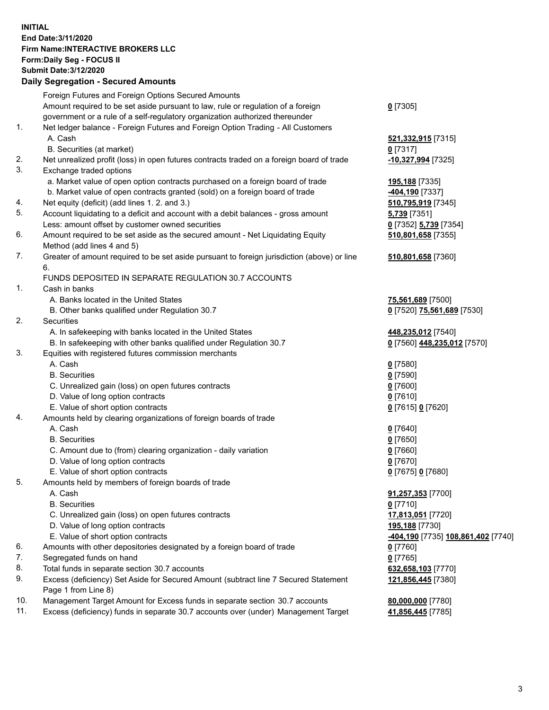**INITIAL End Date:3/11/2020 Firm Name:INTERACTIVE BROKERS LLC Form:Daily Seg - FOCUS II Submit Date:3/12/2020 Daily Segregation - Secured Amounts**

## Foreign Futures and Foreign Options Secured Amounts Amount required to be set aside pursuant to law, rule or regulation of a foreign government or a rule of a self-regulatory organization authorized thereunder **0** [7305] 1. Net ledger balance - Foreign Futures and Foreign Option Trading - All Customers A. Cash **521,332,915** [7315] B. Securities (at market) **0** [7317] 2. Net unrealized profit (loss) in open futures contracts traded on a foreign board of trade **-10,327,994** [7325] 3. Exchange traded options a. Market value of open option contracts purchased on a foreign board of trade **195,188** [7335] b. Market value of open contracts granted (sold) on a foreign board of trade **-404,190** [7337] 4. Net equity (deficit) (add lines 1. 2. and 3.) **510,795,919** [7345] 5. Account liquidating to a deficit and account with a debit balances - gross amount **5,739** [7351] Less: amount offset by customer owned securities **0** [7352] **5,739** [7354] 6. Amount required to be set aside as the secured amount - Net Liquidating Equity Method (add lines 4 and 5) **510,801,658** [7355] 7. Greater of amount required to be set aside pursuant to foreign jurisdiction (above) or line 6. **510,801,658** [7360] FUNDS DEPOSITED IN SEPARATE REGULATION 30.7 ACCOUNTS 1. Cash in banks A. Banks located in the United States **75,561,689** [7500] B. Other banks qualified under Regulation 30.7 **0** [7520] **75,561,689** [7530] 2. Securities A. In safekeeping with banks located in the United States **448,235,012** [7540] B. In safekeeping with other banks qualified under Regulation 30.7 **0** [7560] **448,235,012** [7570] 3. Equities with registered futures commission merchants A. Cash **0** [7580] B. Securities **0** [7590] C. Unrealized gain (loss) on open futures contracts **0** [7600] D. Value of long option contracts **0** [7610] E. Value of short option contracts **0** [7615] **0** [7620] 4. Amounts held by clearing organizations of foreign boards of trade A. Cash **0** [7640] B. Securities **0** [7650] C. Amount due to (from) clearing organization - daily variation **0** [7660] D. Value of long option contracts **0** [7670] E. Value of short option contracts **0** [7675] **0** [7680] 5. Amounts held by members of foreign boards of trade A. Cash **91,257,353** [7700] B. Securities **0** [7710] C. Unrealized gain (loss) on open futures contracts **17,813,051** [7720] D. Value of long option contracts **195,188** [7730] E. Value of short option contracts **-404,190** [7735] **108,861,402** [7740] 6. Amounts with other depositories designated by a foreign board of trade **0** [7760] 7. Segregated funds on hand **0** [7765] 8. Total funds in separate section 30.7 accounts **632,658,103** [7770] 9. Excess (deficiency) Set Aside for Secured Amount (subtract line 7 Secured Statement Page 1 from Line 8) **121,856,445** [7380] 10. Management Target Amount for Excess funds in separate section 30.7 accounts **80,000,000** [7780] 11. Excess (deficiency) funds in separate 30.7 accounts over (under) Management Target **41,856,445** [7785]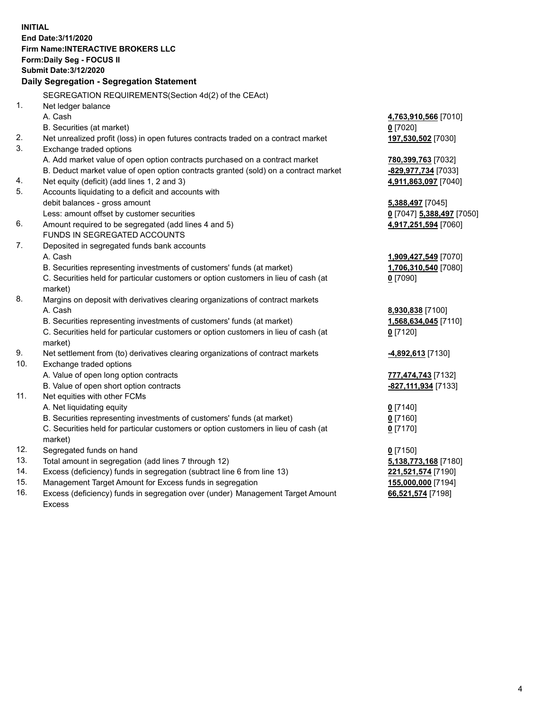**INITIAL End Date:3/11/2020 Firm Name:INTERACTIVE BROKERS LLC Form:Daily Seg - FOCUS II Submit Date:3/12/2020 Daily Segregation - Segregation Statement** SEGREGATION REQUIREMENTS(Section 4d(2) of the CEAct) 1. Net ledger balance A. Cash **4,763,910,566** [7010] B. Securities (at market) **0** [7020] 2. Net unrealized profit (loss) in open futures contracts traded on a contract market **197,530,502** [7030] 3. Exchange traded options A. Add market value of open option contracts purchased on a contract market **780,399,763** [7032] B. Deduct market value of open option contracts granted (sold) on a contract market **-829,977,734** [7033] 4. Net equity (deficit) (add lines 1, 2 and 3) **4,911,863,097** [7040] 5. Accounts liquidating to a deficit and accounts with debit balances - gross amount **5,388,497** [7045] Less: amount offset by customer securities **0** [7047] **5,388,497** [7050] 6. Amount required to be segregated (add lines 4 and 5) **4,917,251,594** [7060] FUNDS IN SEGREGATED ACCOUNTS 7. Deposited in segregated funds bank accounts A. Cash **1,909,427,549** [7070] B. Securities representing investments of customers' funds (at market) **1,706,310,540** [7080] C. Securities held for particular customers or option customers in lieu of cash (at market) **0** [7090] 8. Margins on deposit with derivatives clearing organizations of contract markets A. Cash **8,930,838** [7100] B. Securities representing investments of customers' funds (at market) **1,568,634,045** [7110] C. Securities held for particular customers or option customers in lieu of cash (at market) **0** [7120] 9. Net settlement from (to) derivatives clearing organizations of contract markets **-4,892,613** [7130] 10. Exchange traded options A. Value of open long option contracts **777,474,743** [7132] B. Value of open short option contracts **-827,111,934** [7133] 11. Net equities with other FCMs A. Net liquidating equity **0** [7140] B. Securities representing investments of customers' funds (at market) **0** [7160] C. Securities held for particular customers or option customers in lieu of cash (at market) **0** [7170] 12. Segregated funds on hand **0** [7150] 13. Total amount in segregation (add lines 7 through 12) **5,138,773,168** [7180] 14. Excess (deficiency) funds in segregation (subtract line 6 from line 13) **221,521,574** [7190] 15. Management Target Amount for Excess funds in segregation **155,000,000** [7194] 16. Excess (deficiency) funds in segregation over (under) Management Target Amount **66,521,574** [7198]

Excess